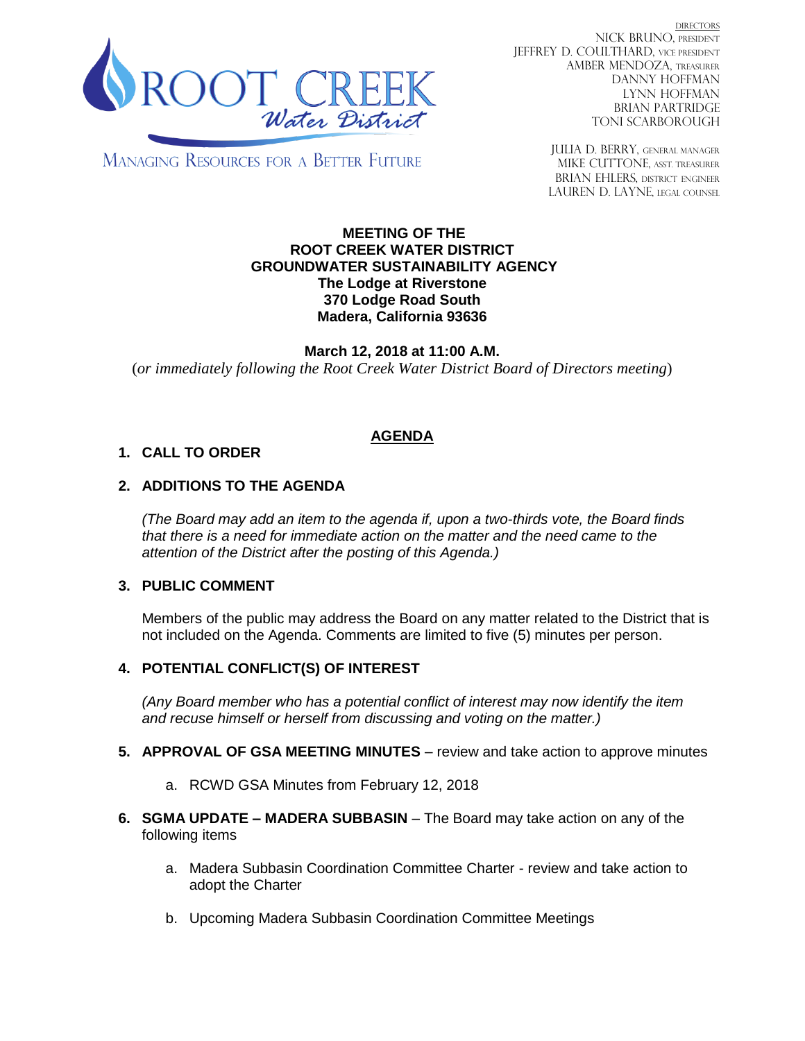

DIRECTORS NICK BRUNO, PRESIDENT JEFFREY D. COULTHARD, Vice President AMBER MENDOZA, TREASURER DANNY HOFFMAN LYNN HOFFMAN BRIAN PARTRIDGE TONI SCARBOROUGH

**MANAGING RESOURCES FOR A BETTER FUTURE** 

JULIA D. BERRY, GENERAL MANAGER MIKE CUTTONE, ASST TREASURER BRIAN EHLERS, DISTRICT ENGINEER LAUREN D. LAYNE, LEGAL COUNSEL

#### **MEETING OF THE ROOT CREEK WATER DISTRICT GROUNDWATER SUSTAINABILITY AGENCY The Lodge at Riverstone 370 Lodge Road South Madera, California 93636**

**March 12, 2018 at 11:00 A.M.** (*or immediately following the Root Creek Water District Board of Directors meeting*)

## **AGENDA**

### **1. CALL TO ORDER**

### **2. ADDITIONS TO THE AGENDA**

*(The Board may add an item to the agenda if, upon a two-thirds vote, the Board finds that there is a need for immediate action on the matter and the need came to the attention of the District after the posting of this Agenda.)*

### **3. PUBLIC COMMENT**

Members of the public may address the Board on any matter related to the District that is not included on the Agenda. Comments are limited to five (5) minutes per person.

### **4. POTENTIAL CONFLICT(S) OF INTEREST**

*(Any Board member who has a potential conflict of interest may now identify the item and recuse himself or herself from discussing and voting on the matter.)*

- **5. APPROVAL OF GSA MEETING MINUTES** review and take action to approve minutes
	- a. RCWD GSA Minutes from February 12, 2018
- **6. SGMA UPDATE – MADERA SUBBASIN** The Board may take action on any of the following items
	- a. Madera Subbasin Coordination Committee Charter review and take action to adopt the Charter
	- b. Upcoming Madera Subbasin Coordination Committee Meetings